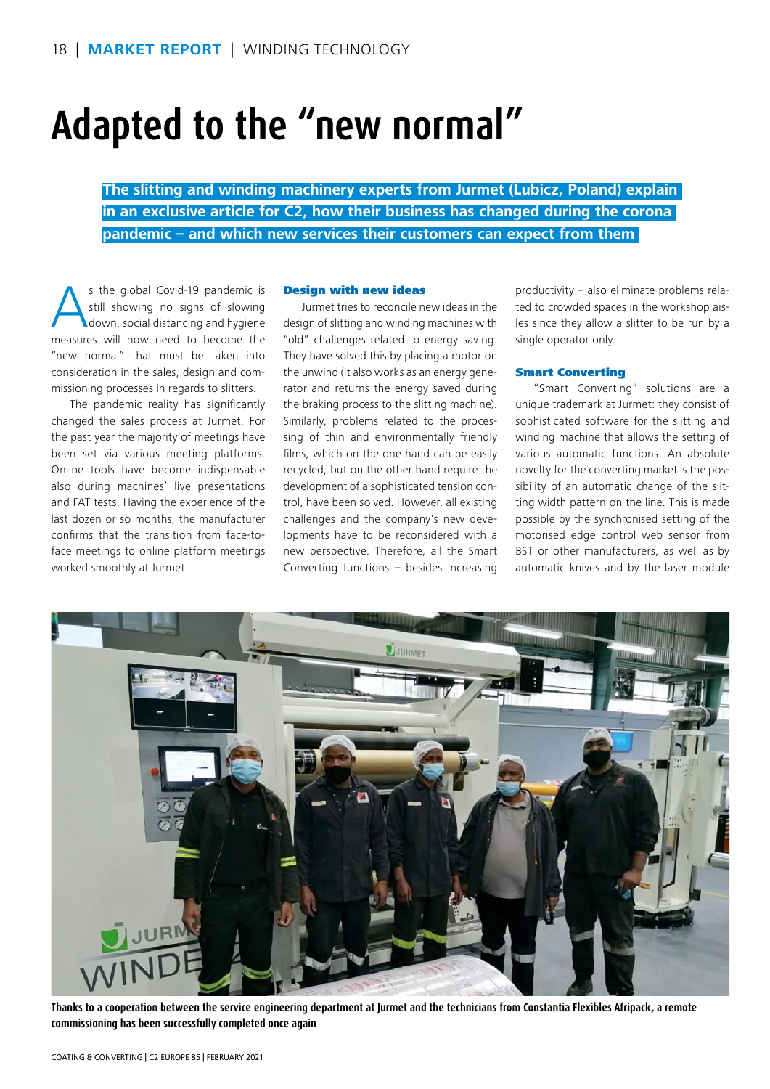# **Adapted to the "new normal"**

**The slitting and winding machinery experts from Jurmet (Lubicz, Poland) explain in an exclusive article for C2, how their business has changed during the corona pandemic – and which new services their customers can expect from them** 

s the global Covid-19 pandemic is<br>still showing no signs of slowing<br>down, social distancing and hygiene still showing no signs of slowing down, social distancing and hygiene measures will now need to become the "new normal" that must be taken into consideration in the sales, design and commissioning processes in regards to slitters.

The pandemic reality has significantly changed the sales process at Jurmet. For the past year the majority of meetings have been set via various meeting platforms. Online tools have become indispensable also during machines' live presentations and FAT tests. Having the experience of the last dozen or so months, the manufacturer confirms that the transition from face-toface meetings to online platform meetings worked smoothly at Jurmet.

#### Design with new ideas

Jurmet tries to reconcile new ideas in the design of slitting and winding machines with "old" challenges related to energy saving. They have solved this by placing a motor on the unwind (it also works as an energy generator and returns the energy saved during the braking process to the slitting machine). Similarly, problems related to the processing of thin and environmentally friendly films, which on the one hand can be easily recycled, but on the other hand require the development of a sophisticated tension control, have been solved. However, all existing challenges and the company's new developments have to be reconsidered with a new perspective. Therefore, all the Smart Converting functions – besides increasing

productivity – also eliminate problems related to crowded spaces in the workshop aisles since they allow a slitter to be run by a single operator only.

#### Smart Converting

"Smart Converting" solutions are a unique trademark at Jurmet: they consist of sophisticated software for the slitting and winding machine that allows the setting of various automatic functions. An absolute novelty for the converting market is the possibility of an automatic change of the slitting width pattern on the line. This is made possible by the synchronised setting of the motorised edge control web sensor from BST or other manufacturers, as well as by automatic knives and by the laser module



**Thanks to a cooperation between the service engineering department at Jurmet and the technicians from Constantia Flexibles Afripack, a remote commissioning has been successfully completed once again**